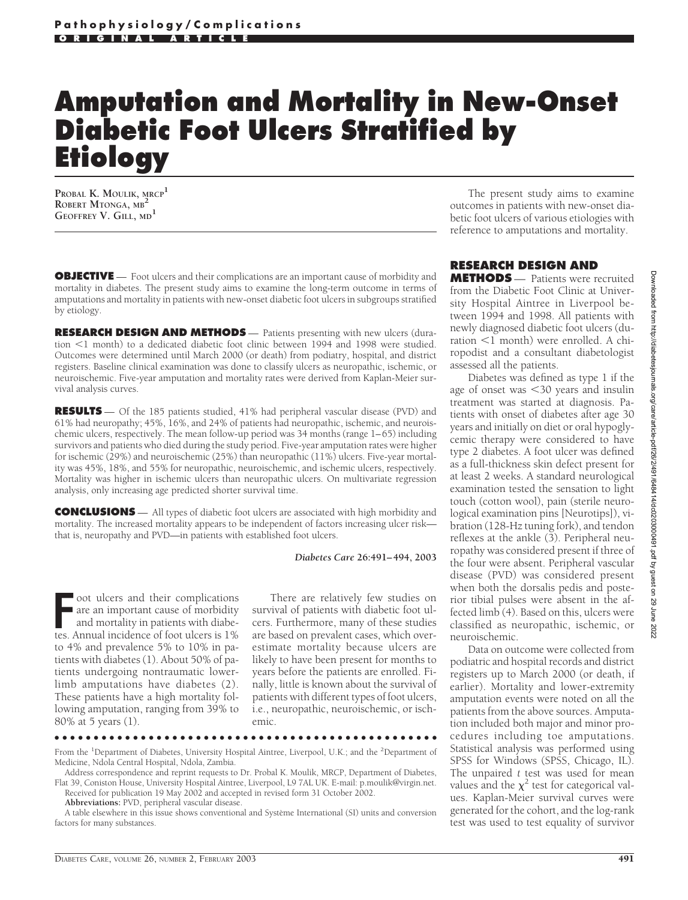## **Amputation and Mortality in New-Onset Diabetic Foot Ulcers Stratified by Etiology**

**PROBAL K. MOULIK, MRCP<sup>1</sup> ROBERT MTONGA, MB<sup>2</sup> GEOFFREY V. GILL, MD<sup>1</sup>**

**OBJECTIVE** — Foot ulcers and their complications are an important cause of morbidity and mortality in diabetes. The present study aims to examine the long-term outcome in terms of amputations and mortality in patients with new-onset diabetic foot ulcers in subgroups stratified by etiology.

**RESEARCH DESIGN AND METHODS** — Patients presenting with new ulcers (duration <1 month) to a dedicated diabetic foot clinic between 1994 and 1998 were studied. Outcomes were determined until March 2000 (or death) from podiatry, hospital, and district registers. Baseline clinical examination was done to classify ulcers as neuropathic, ischemic, or neuroischemic. Five-year amputation and mortality rates were derived from Kaplan-Meier survival analysis curves.

**RESULTS** — Of the 185 patients studied, 41% had peripheral vascular disease (PVD) and 61% had neuropathy; 45%, 16%, and 24% of patients had neuropathic, ischemic, and neuroischemic ulcers, respectively. The mean follow-up period was 34 months (range 1–65) including survivors and patients who died during the study period. Five-year amputation rates were higher for ischemic (29%) and neuroischemic (25%) than neuropathic (11%) ulcers. Five-year mortality was 45%, 18%, and 55% for neuropathic, neuroischemic, and ischemic ulcers, respectively. Mortality was higher in ischemic ulcers than neuropathic ulcers. On multivariate regression analysis, only increasing age predicted shorter survival time.

**CONCLUSIONS** — All types of diabetic foot ulcers are associated with high morbidity and mortality. The increased mortality appears to be independent of factors increasing ulcer risk that is, neuropathy and PVD—in patients with established foot ulcers.

## *Diabetes Care* **26:491–494, 2003**

FR oot ulcers and their complications are an important cause of morbidity and mortality in patients with diabetes. Annual incidence of foot ulcers is 1% oot ulcers and their complications are an important cause of morbidity and mortality in patients with diabeto 4% and prevalence 5% to 10% in patients with diabetes (1). About 50% of patients undergoing nontraumatic lowerlimb amputations have diabetes (2). These patients have a high mortality following amputation, ranging from 39% to 80% at 5 years (1).

There are relatively few studies on survival of patients with diabetic foot ulcers. Furthermore, many of these studies are based on prevalent cases, which overestimate mortality because ulcers are likely to have been present for months to years before the patients are enrolled. Finally, little is known about the survival of patients with different types of foot ulcers, i.e., neuropathic, neuroischemic, or ischemic.

●●●●●●●●●●●●●●●●●●●●●●●●●●●●●●●●●●●●●●●●●●●●●●●●●

From the <sup>1</sup>Department of Diabetes, University Hospital Aintree, Liverpool, U.K.; and the <sup>2</sup>Department of Medicine, Ndola Central Hospital, Ndola, Zambia.

**Abbreviations:** PVD, peripheral vascular disease.

A table elsewhere in this issue shows conventional and Système International (SI) units and conversion factors for many substances.

The present study aims to examine outcomes in patients with new-onset diabetic foot ulcers of various etiologies with reference to amputations and mortality.

## **RESEARCH DESIGN AND**

**METHODS** — Patients were recruited from the Diabetic Foot Clinic at University Hospital Aintree in Liverpool between 1994 and 1998. All patients with newly diagnosed diabetic foot ulcers (duration  $\leq 1$  month) were enrolled. A chiropodist and a consultant diabetologist assessed all the patients.

Diabetes was defined as type 1 if the age of onset was 30 years and insulin treatment was started at diagnosis. Patients with onset of diabetes after age 30 years and initially on diet or oral hypoglycemic therapy were considered to have type 2 diabetes. A foot ulcer was defined as a full-thickness skin defect present for at least 2 weeks. A standard neurological examination tested the sensation to light touch (cotton wool), pain (sterile neurological examination pins [Neurotips]), vibration (128-Hz tuning fork), and tendon reflexes at the ankle (3). Peripheral neuropathy was considered present if three of the four were absent. Peripheral vascular disease (PVD) was considered present when both the dorsalis pedis and posterior tibial pulses were absent in the affected limb (4). Based on this, ulcers were classified as neuropathic, ischemic, or neuroischemic.

Data on outcome were collected from podiatric and hospital records and district registers up to March 2000 (or death, if earlier). Mortality and lower-extremity amputation events were noted on all the patients from the above sources. Amputation included both major and minor procedures including toe amputations. Statistical analysis was performed using SPSS for Windows (SPSS, Chicago, IL). The unpaired *t* test was used for mean values and the  $\chi^2$  test for categorical values. Kaplan-Meier survival curves were generated for the cohort, and the log-rank test was used to test equality of survivor

Address correspondence and reprint requests to Dr. Probal K. Moulik, MRCP, Department of Diabetes, Flat 39, Coniston House, University Hospital Aintree, Liverpool, L9 7AL UK. E-mail: p.moulik@virgin.net. Received for publication 19 May 2002 and accepted in revised form 31 October 2002.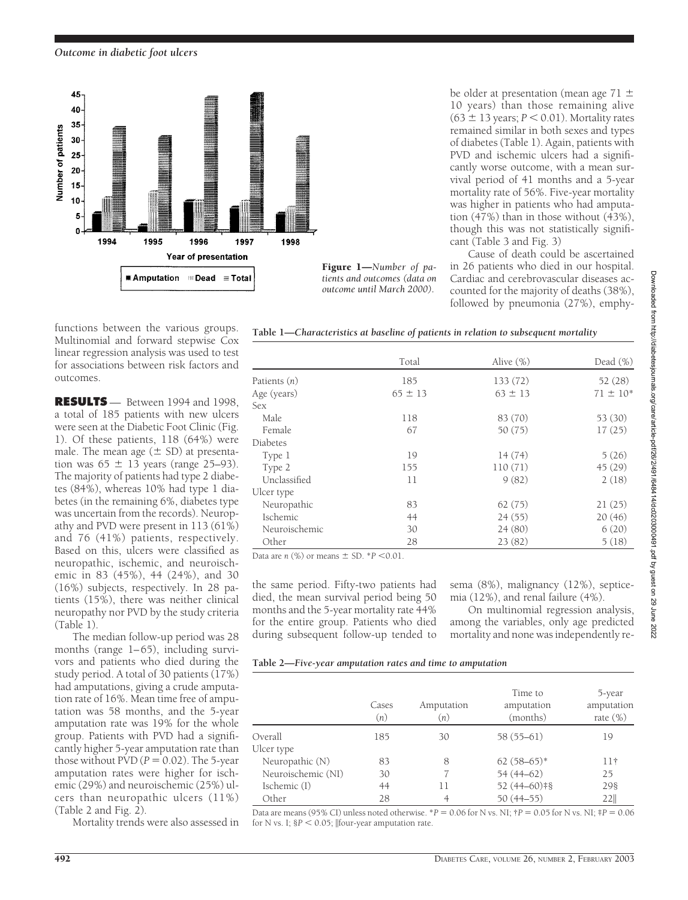*Outcome in diabetic foot ulcers*



10 years) than those remaining alive  $(63 \pm 13 \text{ years}; P \leq 0.01)$ . Mortality rates remained similar in both sexes and types of diabetes (Table 1). Again, patients with PVD and ischemic ulcers had a significantly worse outcome, with a mean survival period of 41 months and a 5-year mortality rate of 56%. Five-year mortality was higher in patients who had amputation (47%) than in those without (43%), though this was not statistically significant (Table 3 and Fig. 3)

be older at presentation (mean age 71  $\pm$ 

Cause of death could be ascertained in 26 patients who died in our hospital. Cardiac and cerebrovascular diseases accounted for the majority of deaths (38%), followed by pneumonia (27%), emphy-

**Table 1—***Characteristics at baseline of patients in relation to subsequent mortality*

functions between the various groups. Multinomial and forward stepwise Cox linear regression analysis was used to test for associations between risk factors and outcomes.

**RESULTS** — Between 1994 and 1998, a total of 185 patients with new ulcers were seen at the Diabetic Foot Clinic (Fig. 1). Of these patients, 118 (64%) were male. The mean age  $(\pm$  SD) at presentation was  $65 \pm 13$  years (range 25–93). The majority of patients had type 2 diabetes (84%), whereas 10% had type 1 diabetes (in the remaining 6%, diabetes type was uncertain from the records). Neuropathy and PVD were present in 113 (61%) and 76 (41%) patients, respectively. Based on this, ulcers were classified as neuropathic, ischemic, and neuroischemic in 83 (45%), 44 (24%), and 30 (16%) subjects, respectively. In 28 patients (15%), there was neither clinical neuropathy nor PVD by the study criteria (Table 1).

The median follow-up period was 28 months (range 1–65), including survivors and patients who died during the study period. A total of 30 patients (17%) had amputations, giving a crude amputation rate of 16%. Mean time free of amputation was 58 months, and the 5-year amputation rate was 19% for the whole group. Patients with PVD had a significantly higher 5-year amputation rate than those without PVD  $(P = 0.02)$ . The 5-year amputation rates were higher for ischemic (29%) and neuroischemic (25%) ulcers than neuropathic ulcers (11%) (Table 2 and Fig. 2).

Mortality trends were also assessed in

|               | Total       | Alive (%)   | Dead $(\%)$   |  |
|---------------|-------------|-------------|---------------|--|
| Patients (n)  | 185         | 133 (72)    | 52(28)        |  |
| Age (years)   | $65 \pm 13$ | $63 \pm 13$ | $71 \pm 10^*$ |  |
| <b>Sex</b>    |             |             |               |  |
| Male          | 118         | 83 (70)     | 53 (30)       |  |
| Female        | 67          | 50 (75)     | 17(25)        |  |
| Diabetes      |             |             |               |  |
| Type 1        | 19          | 14(74)      | 5(26)         |  |
| Type 2        | 155         | 110(71)     | 45(29)        |  |
| Unclassified  | 11          | 9(82)       | 2(18)         |  |
| Ulcer type    |             |             |               |  |
| Neuropathic   | 83          | 62(75)      | 21(25)        |  |
| Ischemic      | 44          | 24(55)      | 20(46)        |  |
| Neuroischemic | 30          | 24(80)      | 6(20)         |  |
| Other         | 28          | 23(82)      | 5(18)         |  |

Data are  $n$  (%) or means  $\pm$  SD.  $*P$  < 0.01.

the same period. Fifty-two patients had died, the mean survival period being 50 months and the 5-year mortality rate 44% for the entire group. Patients who died during subsequent follow-up tended to

sema (8%), malignancy (12%), septicemia (12%), and renal failure (4%).

On multinomial regression analysis, among the variables, only age predicted mortality and none was independently re-

| Table 2-Five-year amputation rates and time to amputation |  |  |
|-----------------------------------------------------------|--|--|
|                                                           |  |  |

|                    | Cases<br>(n) | Amputation<br>(n) | Time to<br>amputation<br>(months) | 5-year<br>amputation<br>rate $(\%)$ |
|--------------------|--------------|-------------------|-----------------------------------|-------------------------------------|
| Overall            | 185          | 30                | 58 (55–61)                        | 19                                  |
| Ulcer type         |              |                   |                                   |                                     |
| Neuropathic (N)    | 83           | 8                 | $62(58-65)*$                      | $11+$                               |
| Neuroischemic (NI) | 30           |                   | $54(44-62)$                       | 25                                  |
| Ischemic (I)       | 44           | 11                | 52 (44-60) *§                     | 298                                 |
| Other              | 28           | 4                 | $50(44-55)$                       | 22                                  |

Data are means (95% CI) unless noted otherwise.  $*P = 0.06$  for N vs. NI;  $\dagger P = 0.05$  for N vs. NI;  $\dagger P = 0.06$ for N vs. I;  $\$P \le 0.05$ ; ||four-year amputation rate.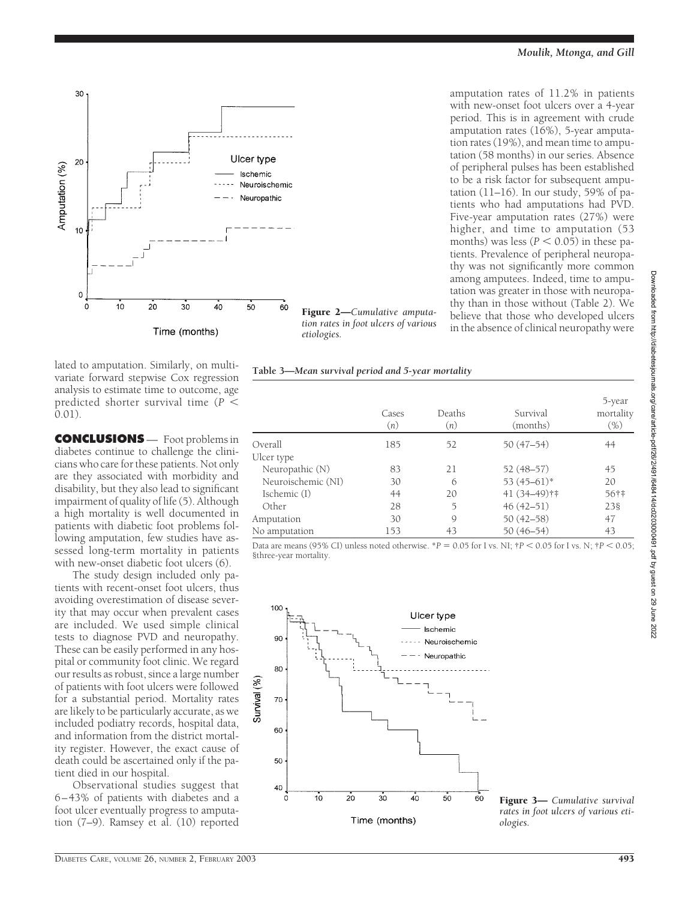

Figure 2—*Cumulative amputation rates in foot ulcers of various etiologies.*

**Table 3—***Mean survival period and 5-year mortality*

amputation rates of 11.2% in patients with new-onset foot ulcers over a 4-year period. This is in agreement with crude amputation rates (16%), 5-year amputation rates (19%), and mean time to amputation (58 months) in our series. Absence of peripheral pulses has been established to be a risk factor for subsequent amputation  $(11–16)$ . In our study, 59% of patients who had amputations had PVD. Five-year amputation rates (27%) were higher, and time to amputation (53 months) was less ( $P < 0.05$ ) in these patients. Prevalence of peripheral neuropathy was not significantly more common among amputees. Indeed, time to amputation was greater in those with neuropathy than in those without (Table 2). We believe that those who developed ulcers in the absence of clinical neuropathy were

lated to amputation. Similarly, on multivariate forward stepwise Cox regression analysis to estimate time to outcome, age predicted shorter survival time (*P* 0.01).

**CONCLUSIONS** — Foot problems in diabetes continue to challenge the clinicians who care for these patients. Not only are they associated with morbidity and disability, but they also lead to significant impairment of quality of life (5). Although a high mortality is well documented in patients with diabetic foot problems following amputation, few studies have assessed long-term mortality in patients with new-onset diabetic foot ulcers (6).

The study design included only patients with recent-onset foot ulcers, thus avoiding overestimation of disease severity that may occur when prevalent cases are included. We used simple clinical tests to diagnose PVD and neuropathy. These can be easily performed in any hospital or community foot clinic. We regard our results as robust, since a large number of patients with foot ulcers were followed for a substantial period. Mortality rates are likely to be particularly accurate, as we included podiatry records, hospital data, and information from the district mortality register. However, the exact cause of death could be ascertained only if the patient died in our hospital.

Observational studies suggest that 6–43% of patients with diabetes and a foot ulcer eventually progress to amputation (7–9). Ramsey et al. (10) reported

Cases (*n*) Deaths (*n*) Survival (months) Overall 185 52 50 (47–54) 44 Ulcer type Neuropathic (N) 83 21 52 (48–57) 45 Neuroischemic (NI) 30 6 53 (45–61)\* 20 Ischemic (I) 44 20 41 (34–49)†‡ 56†‡ Other 28 5 46 (42–51) 23§<br>
mputation 30 9 50 (42–58) 47 Amputation

Data are means (95% CI) unless noted otherwise.  ${}^{*}P = 0.05$  for I vs. NI;  ${}^{*}P < 0.05$  for I vs. N;  ${}^{*}P < 0.05$ ; §three-year mortality.



Figure 3— *Cumulative survival rates in foot ulcers of various etiologies.*

Downloaded from http://diabetesjournals.org/care/article-pdf/26/2/491/648414/dc0203000491.pdf by guest on 29 June 2022

Downloaded from http://diabelesjournals.org/care/article-pdf/26/2/491/648414/dc0203000491.pdf by guest on 29 June 2022